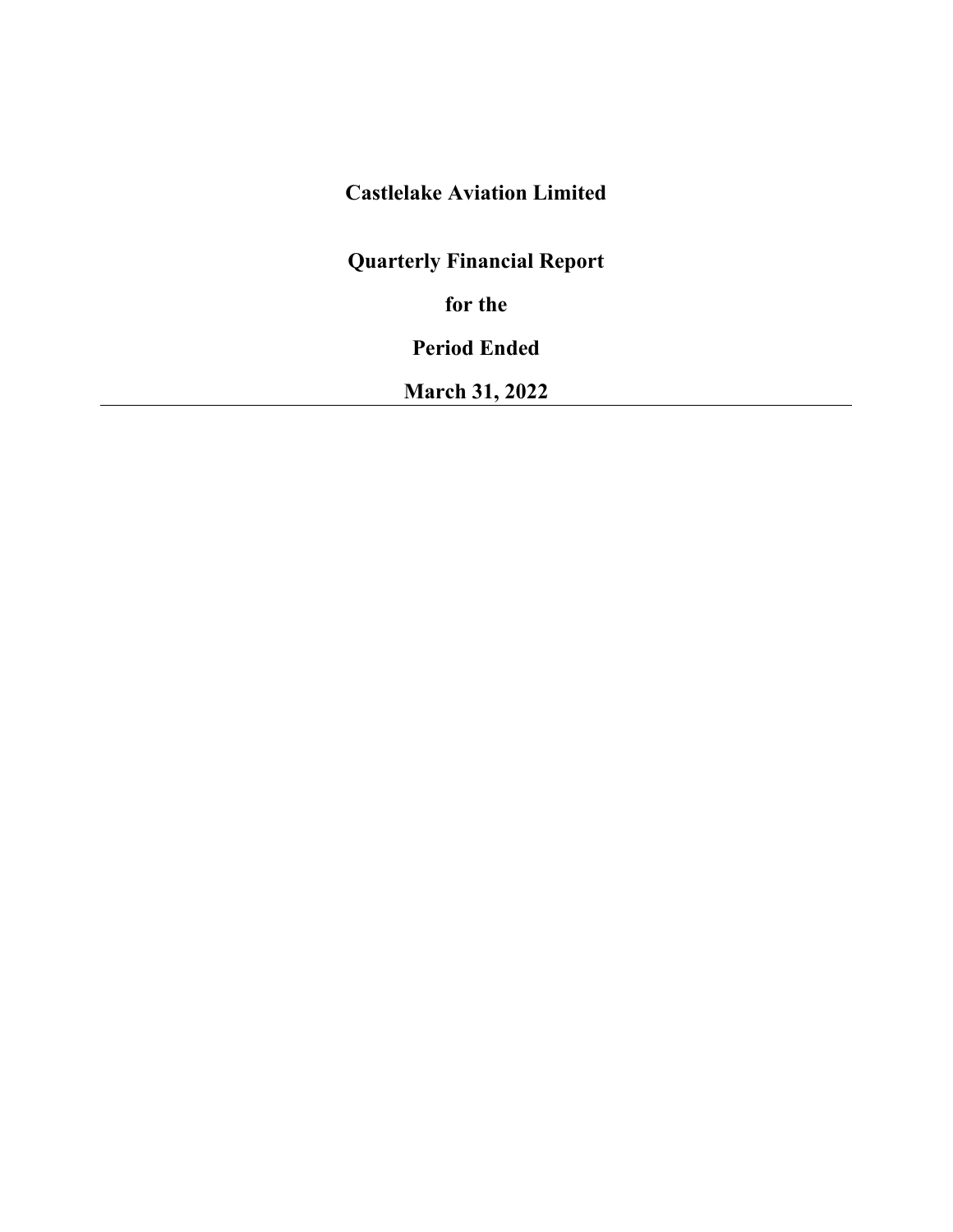# **Castlelake Aviation Limited**

**Quarterly Financial Report**

**for the** 

**Period Ended**

**March 31, 2022**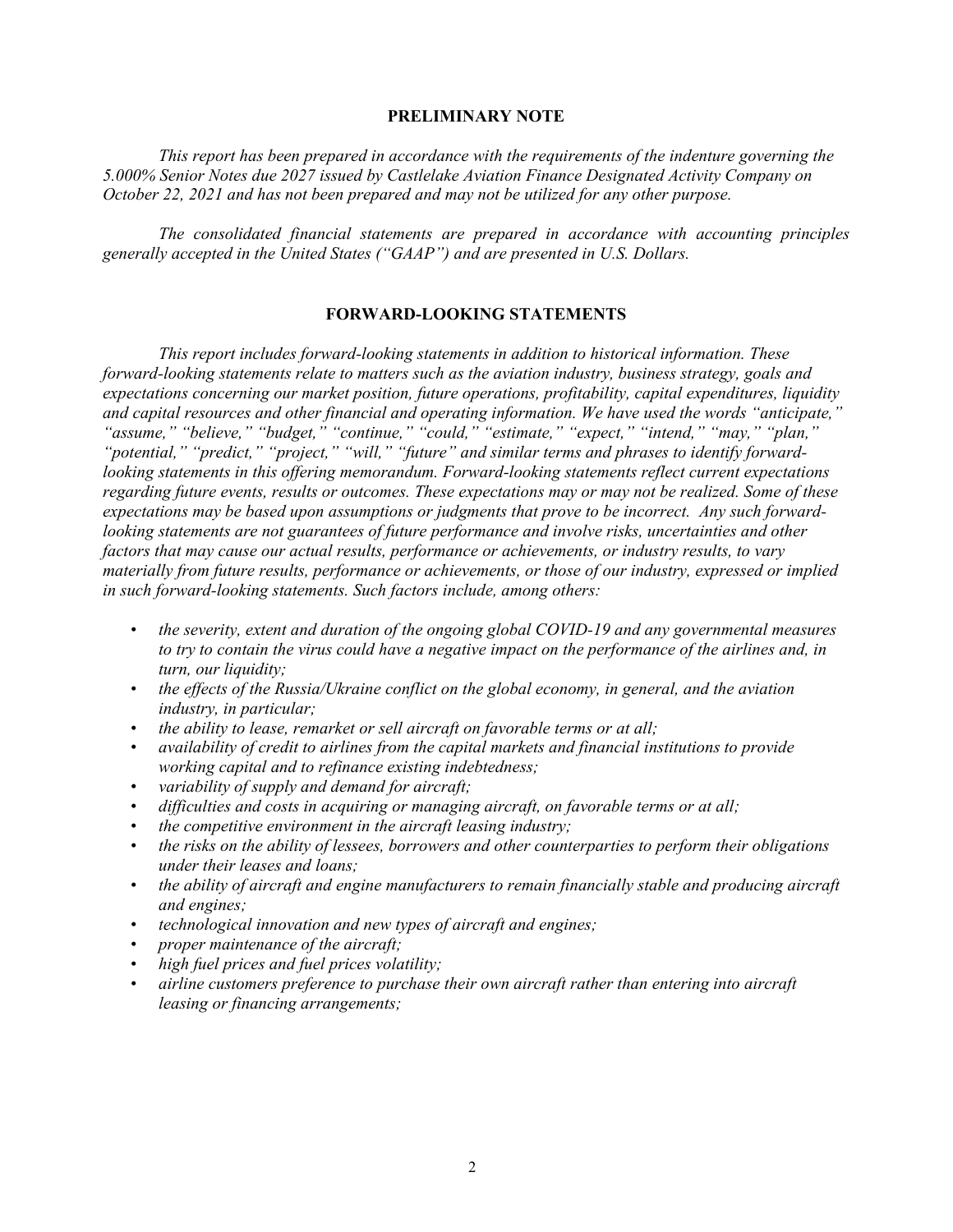# **PRELIMINARY NOTE**

*This report has been prepared in accordance with the requirements of the indenture governing the 5.000% Senior Notes due 2027 issued by Castlelake Aviation Finance Designated Activity Company on October 22, 2021 and has not been prepared and may not be utilized for any other purpose.* 

*The consolidated financial statements are prepared in accordance with accounting principles generally accepted in the United States ("GAAP") and are presented in U.S. Dollars.*

## **FORWARD-LOOKING STATEMENTS**

*This report includes forward-looking statements in addition to historical information. These forward-looking statements relate to matters such as the aviation industry, business strategy, goals and expectations concerning our market position, future operations, profitability, capital expenditures, liquidity and capital resources and other financial and operating information. We have used the words "anticipate," "assume," "believe," "budget," "continue," "could," "estimate," "expect," "intend," "may," "plan," "potential," "predict," "project," "will," "future" and similar terms and phrases to identify forwardlooking statements in this offering memorandum. Forward-looking statements reflect current expectations regarding future events, results or outcomes. These expectations may or may not be realized. Some of these expectations may be based upon assumptions or judgments that prove to be incorrect. Any such forwardlooking statements are not guarantees of future performance and involve risks, uncertainties and other factors that may cause our actual results, performance or achievements, or industry results, to vary materially from future results, performance or achievements, or those of our industry, expressed or implied in such forward-looking statements. Such factors include, among others:* 

- *the severity, extent and duration of the ongoing global COVID-19 and any governmental measures to try to contain the virus could have a negative impact on the performance of the airlines and, in turn, our liquidity;*
- *the effects of the Russia/Ukraine conflict on the global economy, in general, and the aviation industry, in particular;*
- *the ability to lease, remarket or sell aircraft on favorable terms or at all;*
- *availability of credit to airlines from the capital markets and financial institutions to provide working capital and to refinance existing indebtedness;*
- *variability of supply and demand for aircraft;*
- *difficulties and costs in acquiring or managing aircraft, on favorable terms or at all;*
- *the competitive environment in the aircraft leasing industry;*
- *the risks on the ability of lessees, borrowers and other counterparties to perform their obligations under their leases and loans;*
- *the ability of aircraft and engine manufacturers to remain financially stable and producing aircraft and engines;*
- *technological innovation and new types of aircraft and engines;*
- *proper maintenance of the aircraft;*
- *high fuel prices and fuel prices volatility;*
- *airline customers preference to purchase their own aircraft rather than entering into aircraft leasing or financing arrangements;*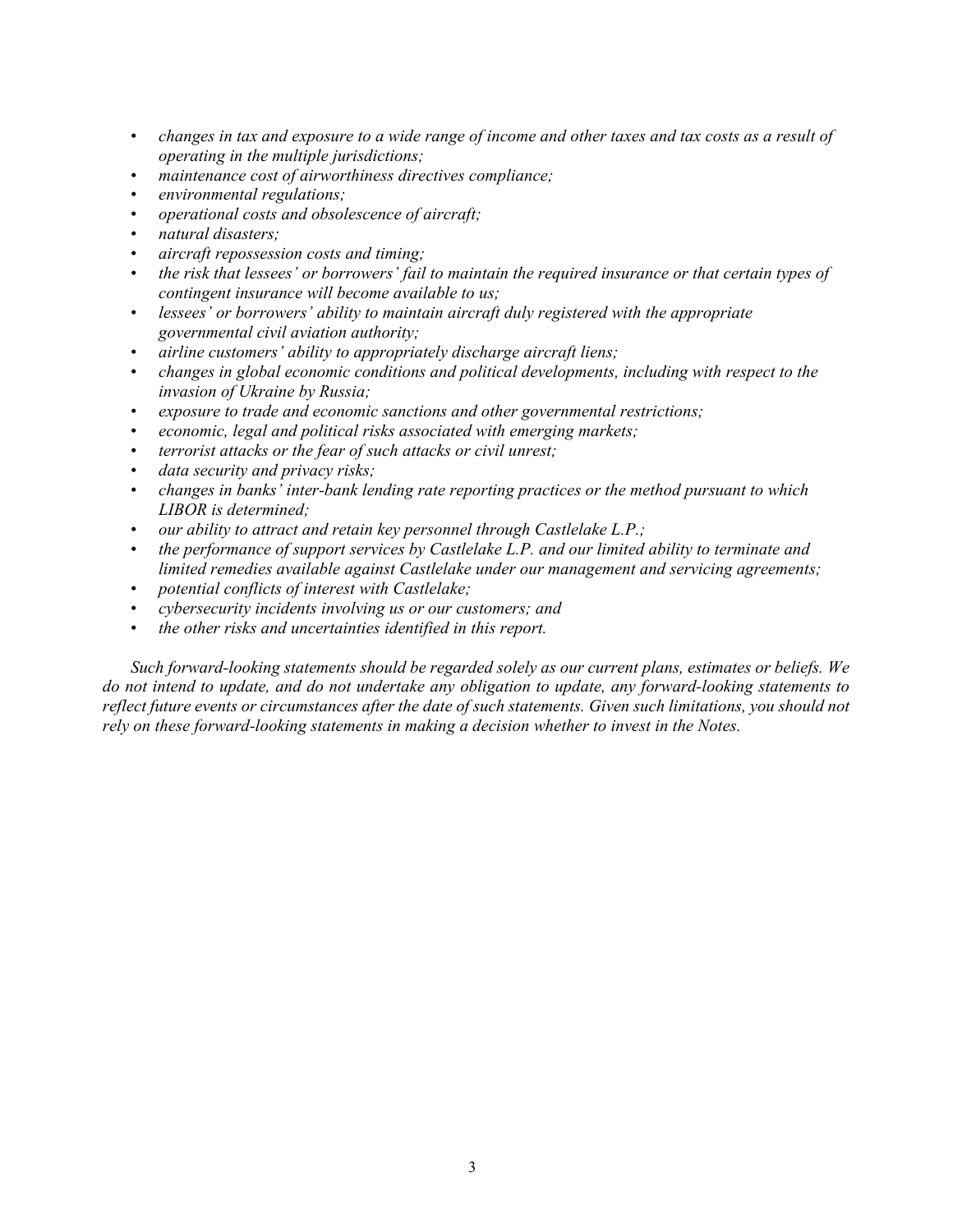- *changes in tax and exposure to a wide range of income and other taxes and tax costs as a result of operating in the multiple jurisdictions;*
- *maintenance cost of airworthiness directives compliance;*
- *environmental regulations;*
- *operational costs and obsolescence of aircraft;*
- *natural disasters;*
- *aircraft repossession costs and timing;*
- *the risk that lessees' or borrowers' fail to maintain the required insurance or that certain types of contingent insurance will become available to us;*
- *lessees' or borrowers' ability to maintain aircraft duly registered with the appropriate governmental civil aviation authority;*
- *airline customers' ability to appropriately discharge aircraft liens;*
- *changes in global economic conditions and political developments, including with respect to the invasion of Ukraine by Russia;*
- *exposure to trade and economic sanctions and other governmental restrictions;*
- *economic, legal and political risks associated with emerging markets;*
- *terrorist attacks or the fear of such attacks or civil unrest;*
- *data security and privacy risks;*
- *changes in banks' inter-bank lending rate reporting practices or the method pursuant to which LIBOR is determined;*
- *our ability to attract and retain key personnel through Castlelake L.P.;*
- *the performance of support services by Castlelake L.P. and our limited ability to terminate and limited remedies available against Castlelake under our management and servicing agreements;*
- *potential conflicts of interest with Castlelake;*
- *cybersecurity incidents involving us or our customers; and*
- *the other risks and uncertainties identified in this report.*

*Such forward-looking statements should be regarded solely as our current plans, estimates or beliefs. We do not intend to update, and do not undertake any obligation to update, any forward-looking statements to*  reflect future events or circumstances after the date of such statements. Given such limitations, you should not *rely on these forward-looking statements in making a decision whether to invest in the Notes.*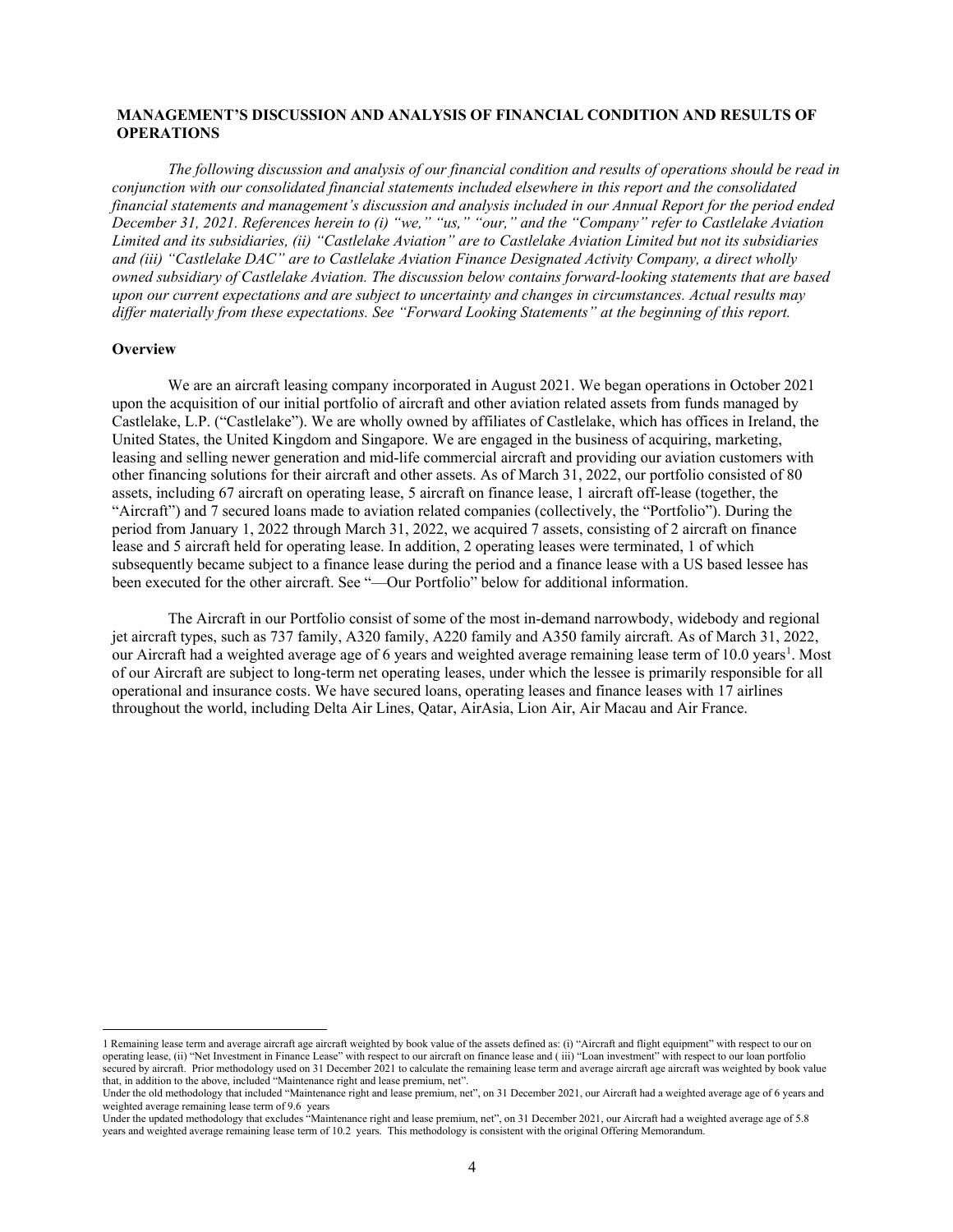## **MANAGEMENT'S DISCUSSION AND ANALYSIS OF FINANCIAL CONDITION AND RESULTS OF OPERATIONS**

*The following discussion and analysis of our financial condition and results of operations should be read in conjunction with our consolidated financial statements included elsewhere in this report and the consolidated financial statements and management's discussion and analysis included in our Annual Report for the period ended December 31, 2021. References herein to (i) "we," "us," "our," and the "Company" refer to Castlelake Aviation Limited and its subsidiaries, (ii) "Castlelake Aviation" are to Castlelake Aviation Limited but not its subsidiaries and (iii) "Castlelake DAC" are to Castlelake Aviation Finance Designated Activity Company, a direct wholly owned subsidiary of Castlelake Aviation. The discussion below contains forward-looking statements that are based upon our current expectations and are subject to uncertainty and changes in circumstances. Actual results may differ materially from these expectations. See "Forward Looking Statements" at the beginning of this report.* 

## **Overview**

We are an aircraft leasing company incorporated in August 2021. We began operations in October 2021 upon the acquisition of our initial portfolio of aircraft and other aviation related assets from funds managed by Castlelake, L.P. ("Castlelake"). We are wholly owned by affiliates of Castlelake, which has offices in Ireland, the United States, the United Kingdom and Singapore. We are engaged in the business of acquiring, marketing, leasing and selling newer generation and mid-life commercial aircraft and providing our aviation customers with other financing solutions for their aircraft and other assets. As of March 31, 2022, our portfolio consisted of 80 assets, including 67 aircraft on operating lease, 5 aircraft on finance lease, 1 aircraft off-lease (together, the "Aircraft") and 7 secured loans made to aviation related companies (collectively, the "Portfolio"). During the period from January 1, 2022 through March 31, 2022, we acquired 7 assets, consisting of 2 aircraft on finance lease and 5 aircraft held for operating lease. In addition, 2 operating leases were terminated, 1 of which subsequently became subject to a finance lease during the period and a finance lease with a US based lessee has been executed for the other aircraft. See "—Our Portfolio" below for additional information.

The Aircraft in our Portfolio consist of some of the most in-demand narrowbody, widebody and regional jet aircraft types, such as 737 family, A320 family, A220 family and A350 family aircraft. As of March 31, 2022, our Aircraft had a weighted average age of 6 years and weighted average remaining lease term of 10.0 years<sup>1</sup>. Most of our Aircraft are subject to long-term net operating leases, under which the lessee is primarily responsible for all operational and insurance costs. We have secured loans, operating leases and finance leases with 17 airlines throughout the world, including Delta Air Lines, Qatar, AirAsia, Lion Air, Air Macau and Air France.

<span id="page-3-0"></span><sup>1</sup> Remaining lease term and average aircraft age aircraft weighted by book value of the assets defined as: (i) "Aircraft and flight equipment" with respect to our on operating lease, (ii) "Net Investment in Finance Lease" with respect to our aircraft on finance lease and ( iii) "Loan investment" with respect to our loan portfolio secured by aircraft. Prior methodology used on 31 December 2021 to calculate the remaining lease term and average aircraft age aircraft was weighted by book value that, in addition to the above, included "Maintenance right and lease premium, net". Under the old methodology that included "Maintenance right and lease premium, net", on 31 December 2021, our Aircraft had a weighted average age of 6 years and

weighted average remaining lease term of 9.6 years

Under the updated methodology that excludes "Maintenance right and lease premium, net", on 31 December 2021, our Aircraft had a weighted average age of 5.8 years and weighted average remaining lease term of 10.2 years. This methodology is consistent with the original Offering Memorandum.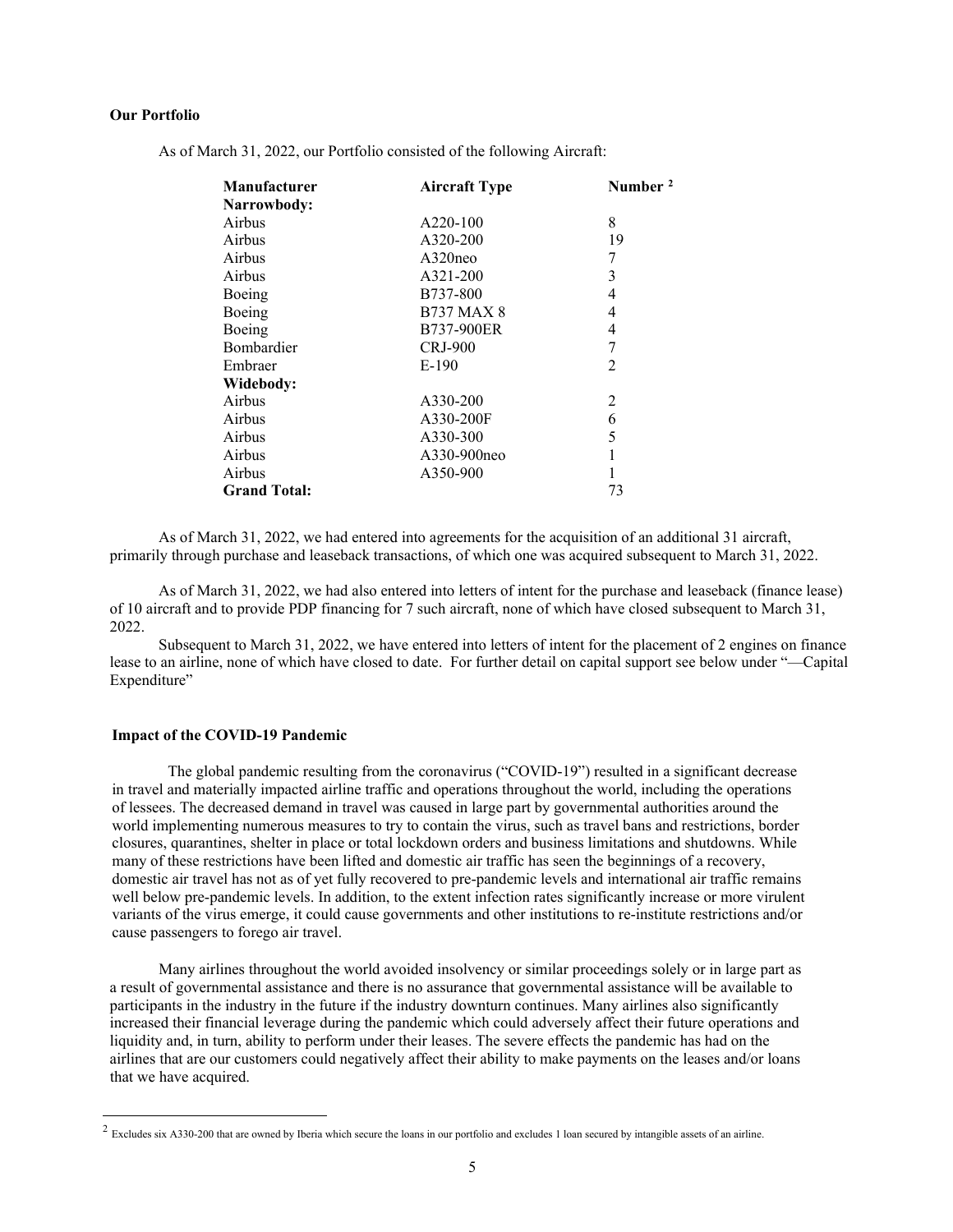## **Our Portfolio**

| <b>Manufacturer</b> | <b>Aircraft Type</b> | Number <sup>2</sup> |
|---------------------|----------------------|---------------------|
| Narrowbody:         |                      |                     |
| Airbus              | A220-100             | 8                   |
| Airbus              | A320-200             | 19                  |
| Airbus              | $A320$ neo           | 7                   |
| Airbus              | A321-200             | 3                   |
| Boeing              | B737-800             | 4                   |
| Boeing              | <b>B737 MAX 8</b>    | 4                   |
| Boeing              | B737-900ER           | 4                   |
| Bombardier          | CRJ-900              | 7                   |
| Embraer             | E-190                | 2                   |
| Widebody:           |                      |                     |
| Airbus              | A330-200             | 2                   |
| Airbus              | A330-200F            | 6                   |
| Airbus              | A330-300             | 5                   |
| Airbus              | A330-900neo          |                     |
| Airbus              | A350-900             |                     |
| <b>Grand Total:</b> |                      | 73                  |

As of March 31, 2022, our Portfolio consisted of the following Aircraft:

As of March 31, 2022, we had entered into agreements for the acquisition of an additional 31 aircraft, primarily through purchase and leaseback transactions, of which one was acquired subsequent to March 31, 2022.

As of March 31, 2022, we had also entered into letters of intent for the purchase and leaseback (finance lease) of 10 aircraft and to provide PDP financing for 7 such aircraft, none of which have closed subsequent to March 31, 2022.

Subsequent to March 31, 2022, we have entered into letters of intent for the placement of 2 engines on finance lease to an airline, none of which have closed to date. For further detail on capital support see below under "—Capital Expenditure"

## **Impact of the COVID-19 Pandemic**

The global pandemic resulting from the coronavirus ("COVID-19") resulted in a significant decrease in travel and materially impacted airline traffic and operations throughout the world, including the operations of lessees. The decreased demand in travel was caused in large part by governmental authorities around the world implementing numerous measures to try to contain the virus, such as travel bans and restrictions, border closures, quarantines, shelter in place or total lockdown orders and business limitations and shutdowns. While many of these restrictions have been lifted and domestic air traffic has seen the beginnings of a recovery, domestic air travel has not as of yet fully recovered to pre-pandemic levels and international air traffic remains well below pre-pandemic levels. In addition, to the extent infection rates significantly increase or more virulent variants of the virus emerge, it could cause governments and other institutions to re-institute restrictions and/or cause passengers to forego air travel.

Many airlines throughout the world avoided insolvency or similar proceedings solely or in large part as a result of governmental assistance and there is no assurance that governmental assistance will be available to participants in the industry in the future if the industry downturn continues. Many airlines also significantly increased their financial leverage during the pandemic which could adversely affect their future operations and liquidity and, in turn, ability to perform under their leases. The severe effects the pandemic has had on the airlines that are our customers could negatively affect their ability to make payments on the leases and/or loans that we have acquired.

<span id="page-4-0"></span> $2$  Excludes six A330-200 that are owned by Iberia which secure the loans in our portfolio and excludes 1 loan secured by intangible assets of an airline.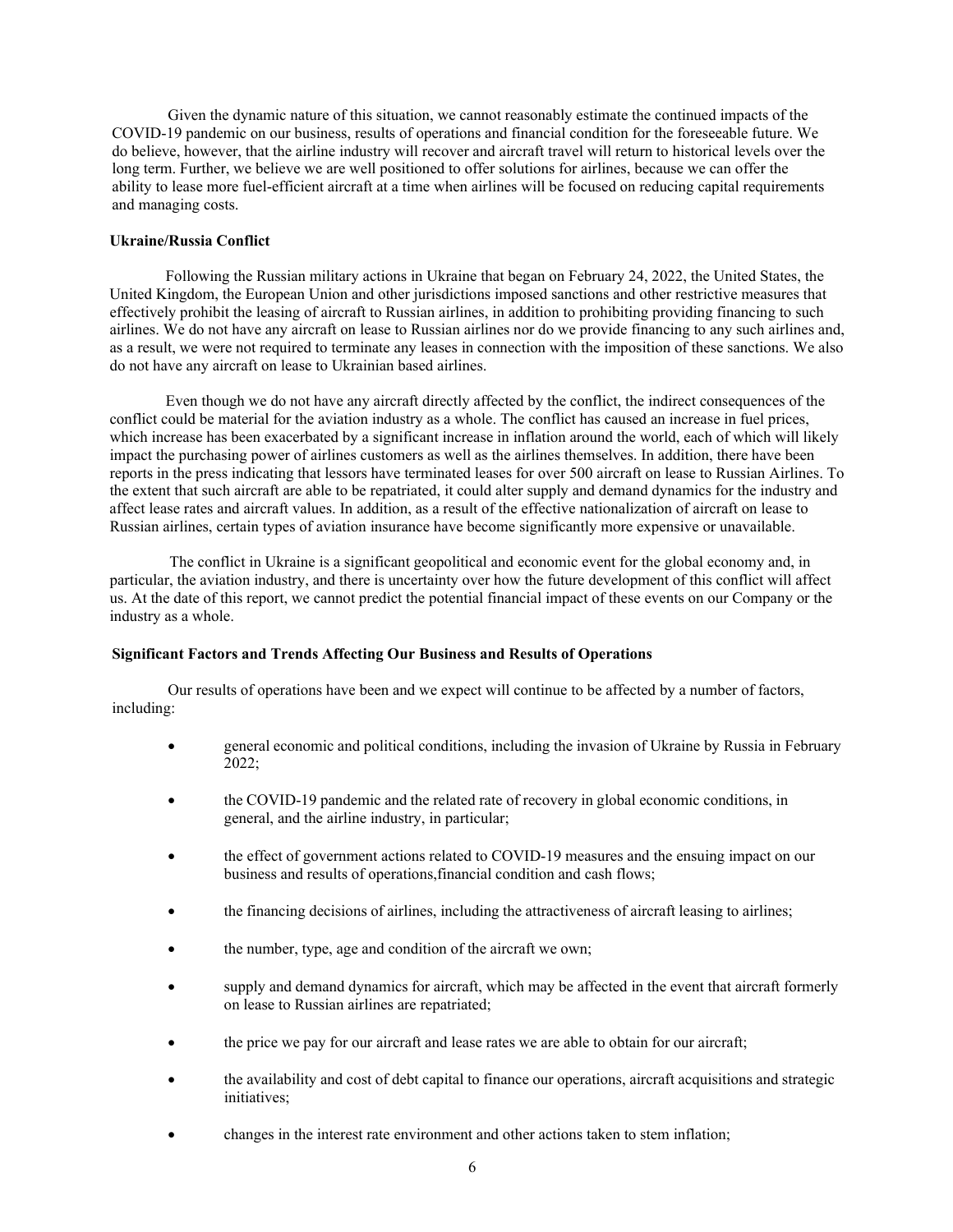Given the dynamic nature of this situation, we cannot reasonably estimate the continued impacts of the COVID-19 pandemic on our business, results of operations and financial condition for the foreseeable future. We do believe, however, that the airline industry will recover and aircraft travel will return to historical levels over the long term. Further, we believe we are well positioned to offer solutions for airlines, because we can offer the ability to lease more fuel-efficient aircraft at a time when airlines will be focused on reducing capital requirements and managing costs.

## **Ukraine/Russia Conflict**

Following the Russian military actions in Ukraine that began on February 24, 2022, the United States, the United Kingdom, the European Union and other jurisdictions imposed sanctions and other restrictive measures that effectively prohibit the leasing of aircraft to Russian airlines, in addition to prohibiting providing financing to such airlines. We do not have any aircraft on lease to Russian airlines nor do we provide financing to any such airlines and, as a result, we were not required to terminate any leases in connection with the imposition of these sanctions. We also do not have any aircraft on lease to Ukrainian based airlines.

Even though we do not have any aircraft directly affected by the conflict, the indirect consequences of the conflict could be material for the aviation industry as a whole. The conflict has caused an increase in fuel prices, which increase has been exacerbated by a significant increase in inflation around the world, each of which will likely impact the purchasing power of airlines customers as well as the airlines themselves. In addition, there have been reports in the press indicating that lessors have terminated leases for over 500 aircraft on lease to Russian Airlines. To the extent that such aircraft are able to be repatriated, it could alter supply and demand dynamics for the industry and affect lease rates and aircraft values. In addition, as a result of the effective nationalization of aircraft on lease to Russian airlines, certain types of aviation insurance have become significantly more expensive or unavailable.

The conflict in Ukraine is a significant geopolitical and economic event for the global economy and, in particular, the aviation industry, and there is uncertainty over how the future development of this conflict will affect us. At the date of this report, we cannot predict the potential financial impact of these events on our Company or the industry as a whole.

## **Significant Factors and Trends Affecting Our Business and Results of Operations**

Our results of operations have been and we expect will continue to be affected by a number of factors, including:

- general economic and political conditions, including the invasion of Ukraine by Russia in February 2022;
- the COVID-19 pandemic and the related rate of recovery in global economic conditions, in general, and the airline industry, in particular;
- the effect of government actions related to COVID-19 measures and the ensuing impact on our business and results of operations,financial condition and cash flows;
- the financing decisions of airlines, including the attractiveness of aircraft leasing to airlines;
- the number, type, age and condition of the aircraft we own;
- supply and demand dynamics for aircraft, which may be affected in the event that aircraft formerly on lease to Russian airlines are repatriated;
- the price we pay for our aircraft and lease rates we are able to obtain for our aircraft;
- the availability and cost of debt capital to finance our operations, aircraft acquisitions and strategic initiatives;
- changes in the interest rate environment and other actions taken to stem inflation;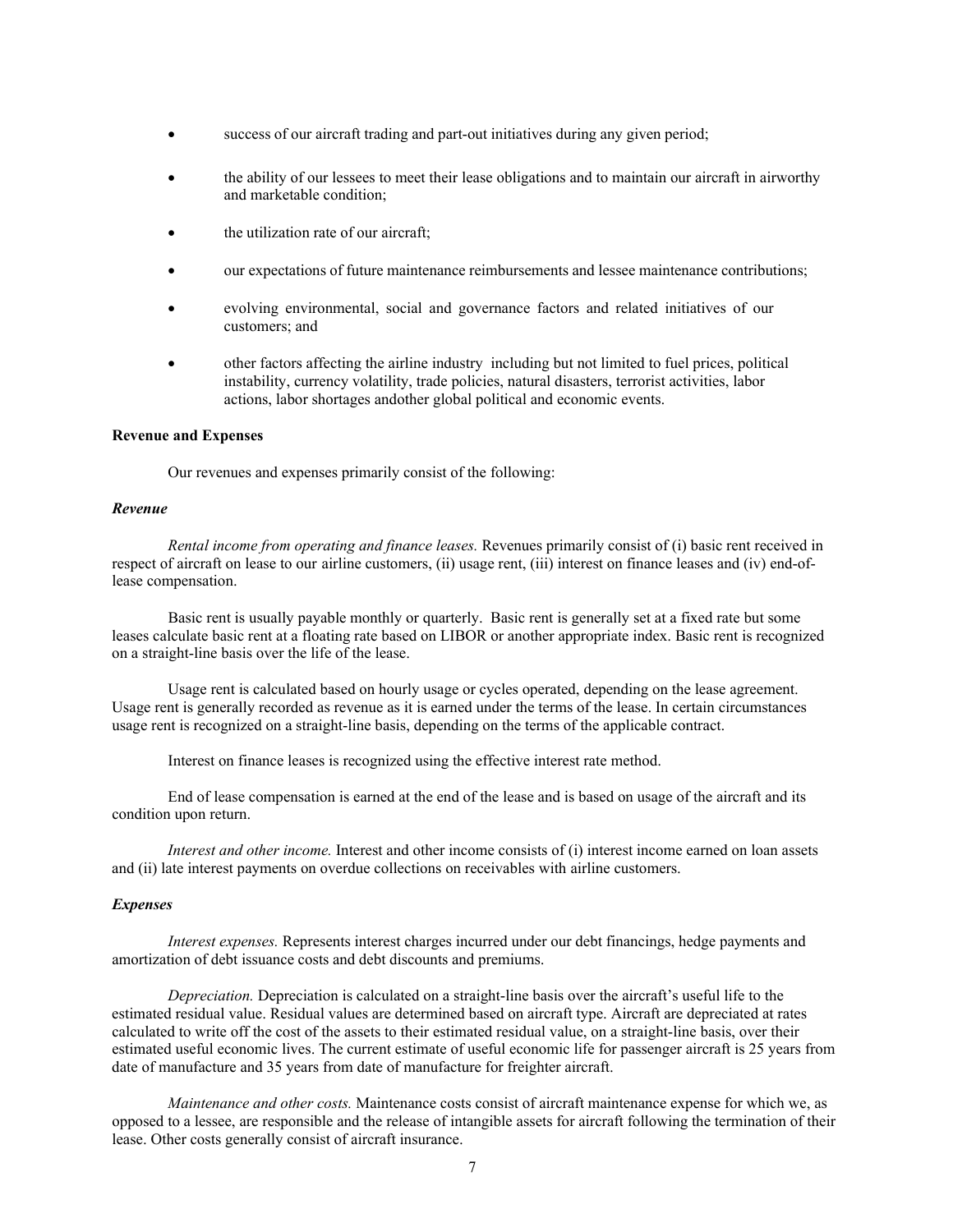- success of our aircraft trading and part-out initiatives during any given period;
- the ability of our lessees to meet their lease obligations and to maintain our aircraft in airworthy and marketable condition;
- the utilization rate of our aircraft;
- our expectations of future maintenance reimbursements and lessee maintenance contributions;
- evolving environmental, social and governance factors and related initiatives of our customers; and
- other factors affecting the airline industry including but not limited to fuel prices, political instability, currency volatility, trade policies, natural disasters, terrorist activities, labor actions, labor shortages andother global political and economic events.

## **Revenue and Expenses**

Our revenues and expenses primarily consist of the following:

## *Revenue*

*Rental income from operating and finance leases.* Revenues primarily consist of (i) basic rent received in respect of aircraft on lease to our airline customers, (ii) usage rent, (iii) interest on finance leases and (iv) end-oflease compensation.

Basic rent is usually payable monthly or quarterly. Basic rent is generally set at a fixed rate but some leases calculate basic rent at a floating rate based on LIBOR or another appropriate index. Basic rent is recognized on a straight-line basis over the life of the lease.

Usage rent is calculated based on hourly usage or cycles operated, depending on the lease agreement. Usage rent is generally recorded as revenue as it is earned under the terms of the lease. In certain circumstances usage rent is recognized on a straight-line basis, depending on the terms of the applicable contract.

Interest on finance leases is recognized using the effective interest rate method.

End of lease compensation is earned at the end of the lease and is based on usage of the aircraft and its condition upon return.

*Interest and other income.* Interest and other income consists of (i) interest income earned on loan assets and (ii) late interest payments on overdue collections on receivables with airline customers.

#### *Expenses*

*Interest expenses.* Represents interest charges incurred under our debt financings, hedge payments and amortization of debt issuance costs and debt discounts and premiums.

*Depreciation.* Depreciation is calculated on a straight-line basis over the aircraft's useful life to the estimated residual value. Residual values are determined based on aircraft type. Aircraft are depreciated at rates calculated to write off the cost of the assets to their estimated residual value, on a straight-line basis, over their estimated useful economic lives. The current estimate of useful economic life for passenger aircraft is 25 years from date of manufacture and 35 years from date of manufacture for freighter aircraft.

*Maintenance and other costs.* Maintenance costs consist of aircraft maintenance expense for which we, as opposed to a lessee, are responsible and the release of intangible assets for aircraft following the termination of their lease. Other costs generally consist of aircraft insurance.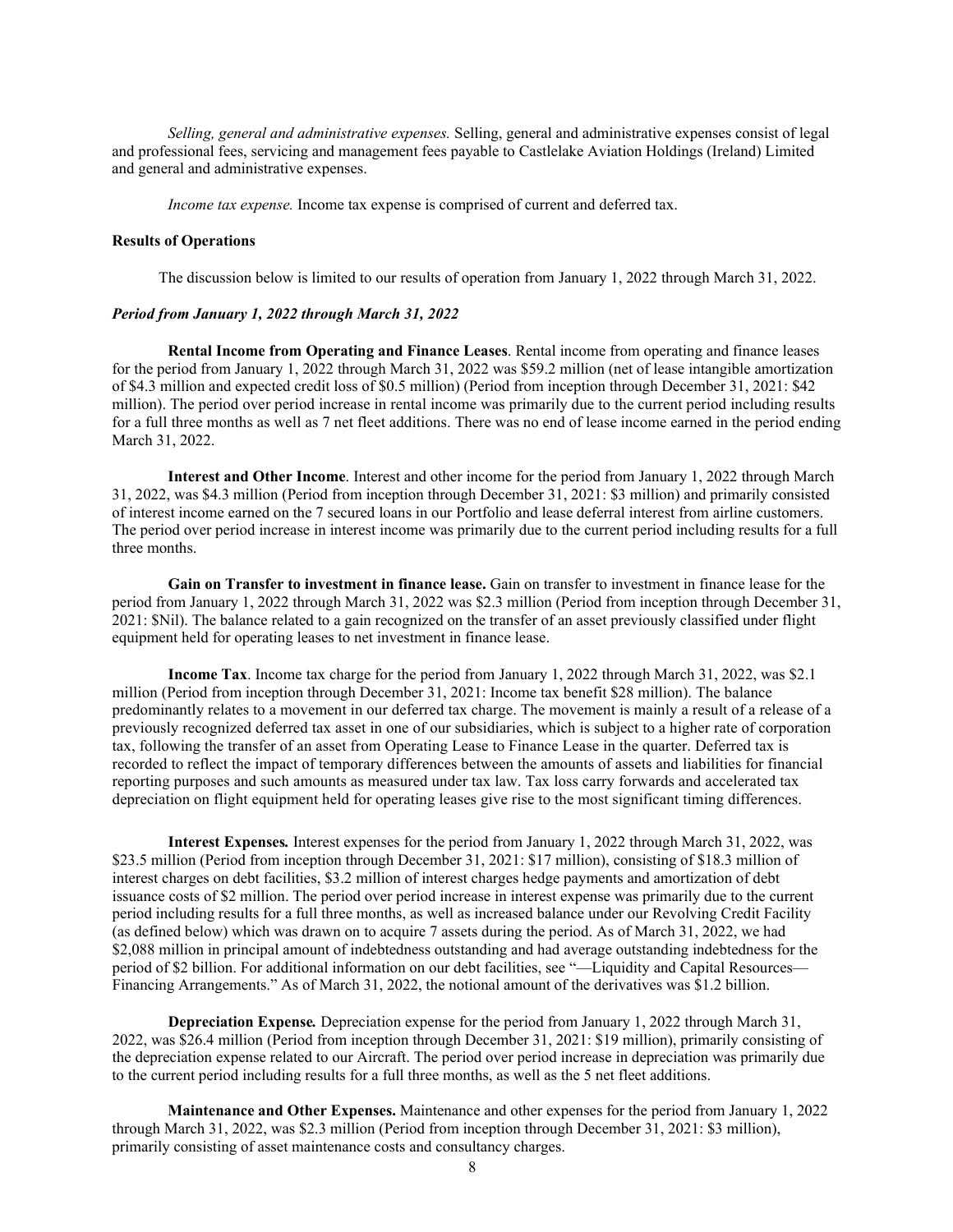*Selling, general and administrative expenses.* Selling, general and administrative expenses consist of legal and professional fees, servicing and management fees payable to Castlelake Aviation Holdings (Ireland) Limited and general and administrative expenses.

*Income tax expense.* Income tax expense is comprised of current and deferred tax.

#### **Results of Operations**

The discussion below is limited to our results of operation from January 1, 2022 through March 31, 2022.

#### *Period from January 1, 2022 through March 31, 2022*

**Rental Income from Operating and Finance Leases**. Rental income from operating and finance leases for the period from January 1, 2022 through March 31, 2022 was \$59.2 million (net of lease intangible amortization of \$4.3 million and expected credit loss of \$0.5 million) (Period from inception through December 31, 2021: \$42 million). The period over period increase in rental income was primarily due to the current period including results for a full three months as well as 7 net fleet additions. There was no end of lease income earned in the period ending March 31, 2022.

**Interest and Other Income**. Interest and other income for the period from January 1, 2022 through March 31, 2022, was \$4.3 million (Period from inception through December 31, 2021: \$3 million) and primarily consisted of interest income earned on the 7 secured loans in our Portfolio and lease deferral interest from airline customers. The period over period increase in interest income was primarily due to the current period including results for a full three months.

**Gain on Transfer to investment in finance lease.** Gain on transfer to investment in finance lease for the period from January 1, 2022 through March 31, 2022 was \$2.3 million (Period from inception through December 31, 2021: \$Nil). The balance related to a gain recognized on the transfer of an asset previously classified under flight equipment held for operating leases to net investment in finance lease.

**Income Tax**. Income tax charge for the period from January 1, 2022 through March 31, 2022, was \$2.1 million (Period from inception through December 31, 2021: Income tax benefit \$28 million). The balance predominantly relates to a movement in our deferred tax charge. The movement is mainly a result of a release of a previously recognized deferred tax asset in one of our subsidiaries, which is subject to a higher rate of corporation tax, following the transfer of an asset from Operating Lease to Finance Lease in the quarter. Deferred tax is recorded to reflect the impact of temporary differences between the amounts of assets and liabilities for financial reporting purposes and such amounts as measured under tax law. Tax loss carry forwards and accelerated tax depreciation on flight equipment held for operating leases give rise to the most significant timing differences.

**Interest Expenses***.* Interest expenses for the period from January 1, 2022 through March 31, 2022, was \$23.5 million (Period from inception through December 31, 2021: \$17 million), consisting of \$18.3 million of interest charges on debt facilities, \$3.2 million of interest charges hedge payments and amortization of debt issuance costs of \$2 million. The period over period increase in interest expense was primarily due to the current period including results for a full three months, as well as increased balance under our Revolving Credit Facility (as defined below) which was drawn on to acquire 7 assets during the period. As of March 31, 2022, we had \$2,088 million in principal amount of indebtedness outstanding and had average outstanding indebtedness for the period of \$2 billion. For additional information on our debt facilities, see "—Liquidity and Capital Resources— Financing Arrangements." As of March 31, 2022, the notional amount of the derivatives was \$1.2 billion.

**Depreciation Expense***.* Depreciation expense for the period from January 1, 2022 through March 31, 2022, was \$26.4 million (Period from inception through December 31, 2021: \$19 million), primarily consisting of the depreciation expense related to our Aircraft. The period over period increase in depreciation was primarily due to the current period including results for a full three months, as well as the 5 net fleet additions.

**Maintenance and Other Expenses.** Maintenance and other expenses for the period from January 1, 2022 through March 31, 2022, was \$2.3 million (Period from inception through December 31, 2021: \$3 million), primarily consisting of asset maintenance costs and consultancy charges.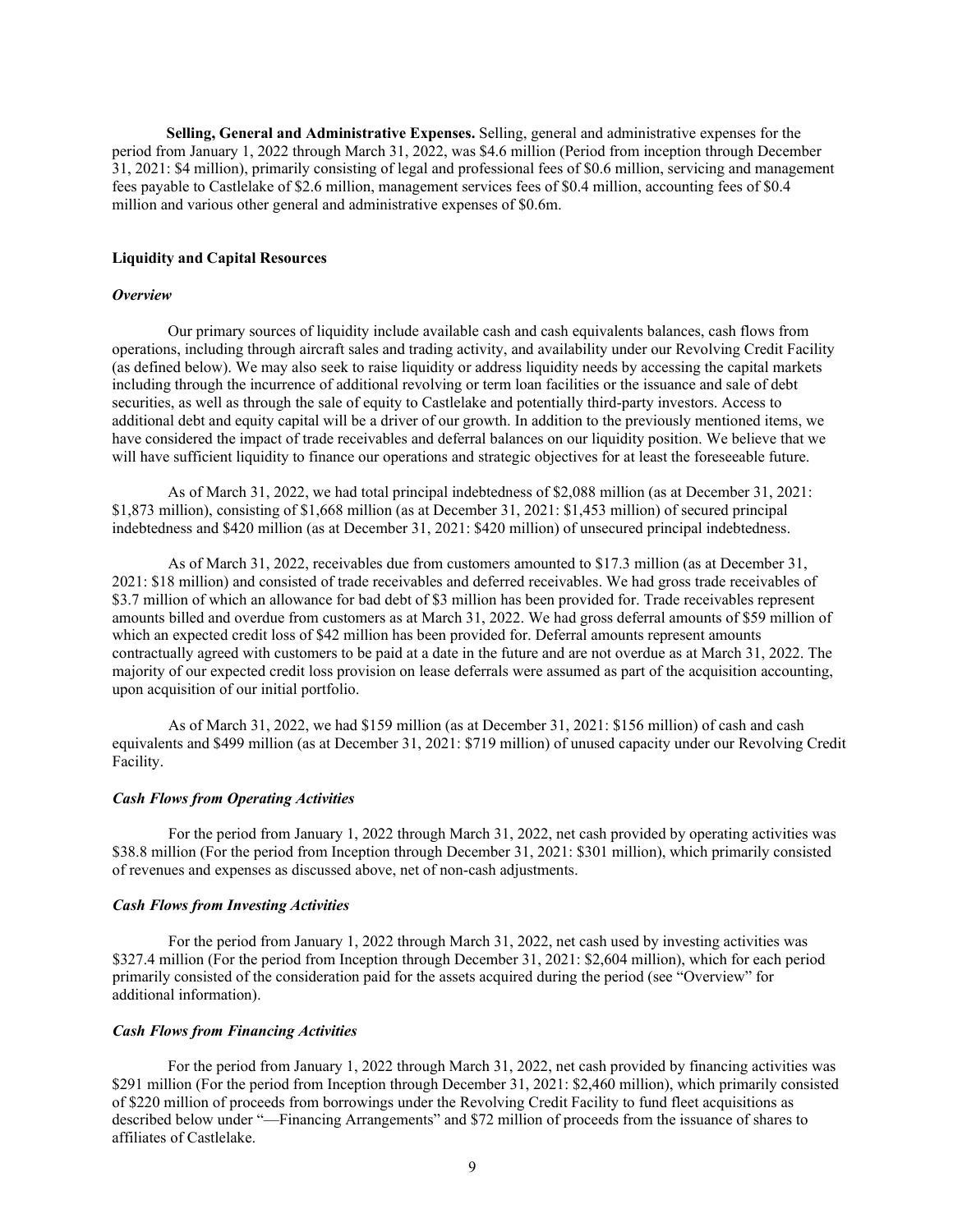**Selling, General and Administrative Expenses.** Selling, general and administrative expenses for the period from January 1, 2022 through March 31, 2022, was \$4.6 million (Period from inception through December 31, 2021: \$4 million), primarily consisting of legal and professional fees of \$0.6 million, servicing and management fees payable to Castlelake of \$2.6 million, management services fees of \$0.4 million, accounting fees of \$0.4 million and various other general and administrative expenses of \$0.6m.

## **Liquidity and Capital Resources**

#### *Overview*

Our primary sources of liquidity include available cash and cash equivalents balances, cash flows from operations, including through aircraft sales and trading activity, and availability under our Revolving Credit Facility (as defined below). We may also seek to raise liquidity or address liquidity needs by accessing the capital markets including through the incurrence of additional revolving or term loan facilities or the issuance and sale of debt securities, as well as through the sale of equity to Castlelake and potentially third-party investors. Access to additional debt and equity capital will be a driver of our growth. In addition to the previously mentioned items, we have considered the impact of trade receivables and deferral balances on our liquidity position. We believe that we will have sufficient liquidity to finance our operations and strategic objectives for at least the foreseeable future.

As of March 31, 2022, we had total principal indebtedness of \$2,088 million (as at December 31, 2021: \$1,873 million), consisting of \$1,668 million (as at December 31, 2021: \$1,453 million) of secured principal indebtedness and \$420 million (as at December 31, 2021: \$420 million) of unsecured principal indebtedness.

As of March 31, 2022, receivables due from customers amounted to \$17.3 million (as at December 31, 2021: \$18 million) and consisted of trade receivables and deferred receivables. We had gross trade receivables of \$3.7 million of which an allowance for bad debt of \$3 million has been provided for. Trade receivables represent amounts billed and overdue from customers as at March 31, 2022. We had gross deferral amounts of \$59 million of which an expected credit loss of \$42 million has been provided for. Deferral amounts represent amounts contractually agreed with customers to be paid at a date in the future and are not overdue as at March 31, 2022. The majority of our expected credit loss provision on lease deferrals were assumed as part of the acquisition accounting, upon acquisition of our initial portfolio.

As of March 31, 2022, we had \$159 million (as at December 31, 2021: \$156 million) of cash and cash equivalents and \$499 million (as at December 31, 2021: \$719 million) of unused capacity under our Revolving Credit Facility.

## *Cash Flows from Operating Activities*

For the period from January 1, 2022 through March 31, 2022, net cash provided by operating activities was \$38.8 million (For the period from Inception through December 31, 2021: \$301 million), which primarily consisted of revenues and expenses as discussed above, net of non-cash adjustments.

#### *Cash Flows from Investing Activities*

For the period from January 1, 2022 through March 31, 2022, net cash used by investing activities was \$327.4 million (For the period from Inception through December 31, 2021: \$2,604 million), which for each period primarily consisted of the consideration paid for the assets acquired during the period (see "Overview" for additional information).

#### *Cash Flows from Financing Activities*

For the period from January 1, 2022 through March 31, 2022, net cash provided by financing activities was \$291 million (For the period from Inception through December 31, 2021: \$2,460 million), which primarily consisted of \$220 million of proceeds from borrowings under the Revolving Credit Facility to fund fleet acquisitions as described below under "—Financing Arrangements" and \$72 million of proceeds from the issuance of shares to affiliates of Castlelake.